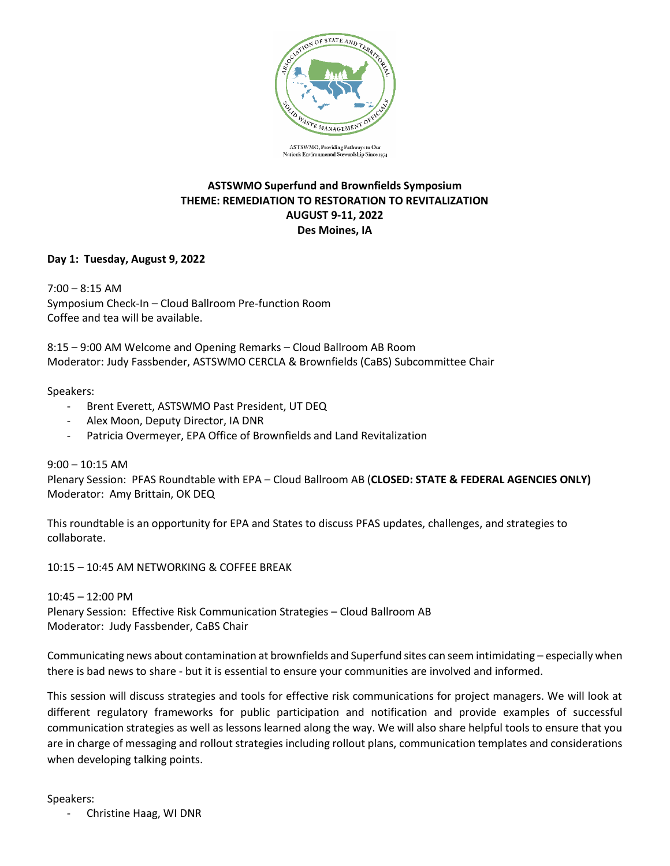

ASTSWMO, Providing Pathways to Our<br>Nation's Environmental Stewardship Since 1974

# **ASTSWMO Superfund and Brownfields Symposium THEME: REMEDIATION TO RESTORATION TO REVITALIZATION AUGUST 9-11, 2022 Des Moines, IA**

### **Day 1: Tuesday, August 9, 2022**

7:00 – 8:15 AM Symposium Check-In – Cloud Ballroom Pre-function Room Coffee and tea will be available.

8:15 – 9:00 AM Welcome and Opening Remarks – Cloud Ballroom AB Room Moderator: Judy Fassbender, ASTSWMO CERCLA & Brownfields (CaBS) Subcommittee Chair

### Speakers:

- Brent Everett, ASTSWMO Past President, UT DEQ
- Alex Moon, Deputy Director, IA DNR
- Patricia Overmeyer, EPA Office of Brownfields and Land Revitalization

9:00 – 10:15 AM Plenary Session: PFAS Roundtable with EPA – Cloud Ballroom AB (**CLOSED: STATE & FEDERAL AGENCIES ONLY)**  Moderator: Amy Brittain, OK DEQ

This roundtable is an opportunity for EPA and States to discuss PFAS updates, challenges, and strategies to collaborate.

10:15 – 10:45 AM NETWORKING & COFFEE BREAK

10:45 – 12:00 PM Plenary Session: Effective Risk Communication Strategies – Cloud Ballroom AB Moderator: Judy Fassbender, CaBS Chair

Communicating news about contamination at brownfields and Superfund sites can seem intimidating – especially when there is bad news to share - but it is essential to ensure your communities are involved and informed.

This session will discuss strategies and tools for effective risk communications for project managers. We will look at different regulatory frameworks for public participation and notification and provide examples of successful communication strategies as well as lessons learned along the way. We will also share helpful tools to ensure that you are in charge of messaging and rollout strategies including rollout plans, communication templates and considerations when developing talking points.

### Speakers:

- Christine Haag, WI DNR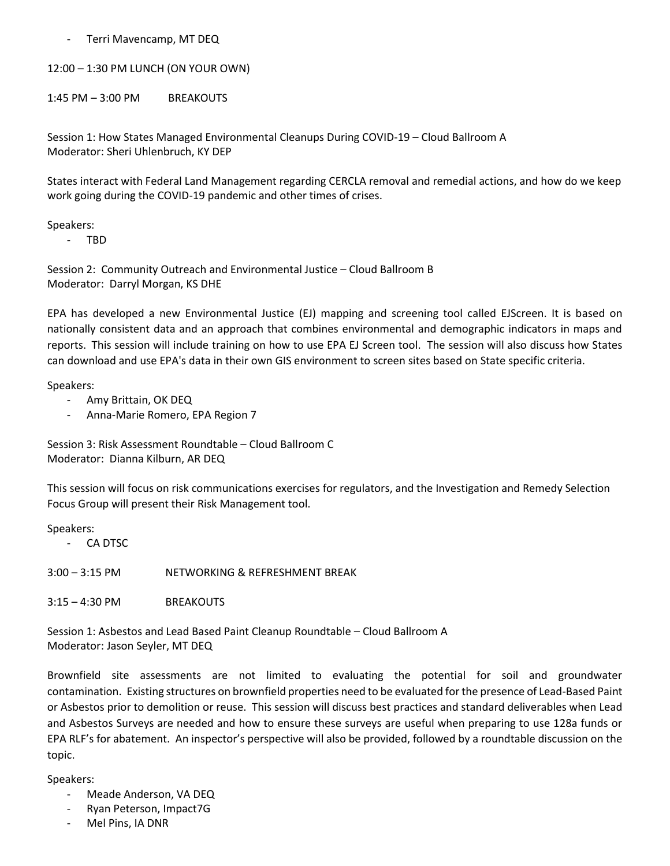- Terri Mavencamp, MT DEQ

12:00 – 1:30 PM LUNCH (ON YOUR OWN)

1:45 PM – 3:00 PM BREAKOUTS

Session 1: How States Managed Environmental Cleanups During COVID-19 – Cloud Ballroom A Moderator: Sheri Uhlenbruch, KY DEP

States interact with Federal Land Management regarding CERCLA removal and remedial actions, and how do we keep work going during the COVID-19 pandemic and other times of crises.

Speakers:

- TBD

Session 2: Community Outreach and Environmental Justice – Cloud Ballroom B Moderator: Darryl Morgan, KS DHE

EPA has developed a new Environmental Justice (EJ) mapping and screening tool called EJScreen. It is based on nationally consistent data and an approach that combines environmental and demographic indicators in maps and reports. This session will include training on how to use EPA EJ Screen tool. The session will also discuss how States can download and use EPA's data in their own GIS environment to screen sites based on State specific criteria.

Speakers:

- Amy Brittain, OK DEQ
- Anna-Marie Romero, EPA Region 7

Session 3: Risk Assessment Roundtable – Cloud Ballroom C Moderator: Dianna Kilburn, AR DEQ

This session will focus on risk communications exercises for regulators, and the Investigation and Remedy Selection Focus Group will present their Risk Management tool.

Speakers:

- CA DTSC
- 3:00 3:15 PM NETWORKING & REFRESHMENT BREAK

3:15 – 4:30 PM BREAKOUTS

Session 1: Asbestos and Lead Based Paint Cleanup Roundtable – Cloud Ballroom A Moderator: Jason Seyler, MT DEQ

Brownfield site assessments are not limited to evaluating the potential for soil and groundwater contamination. Existing structures on brownfield properties need to be evaluated for the presence of Lead-Based Paint or Asbestos prior to demolition or reuse. This session will discuss best practices and standard deliverables when Lead and Asbestos Surveys are needed and how to ensure these surveys are useful when preparing to use 128a funds or EPA RLF's for abatement. An inspector's perspective will also be provided, followed by a roundtable discussion on the topic.

Speakers:

- Meade Anderson, VA DEQ
- Ryan Peterson, Impact7G
- Mel Pins, IA DNR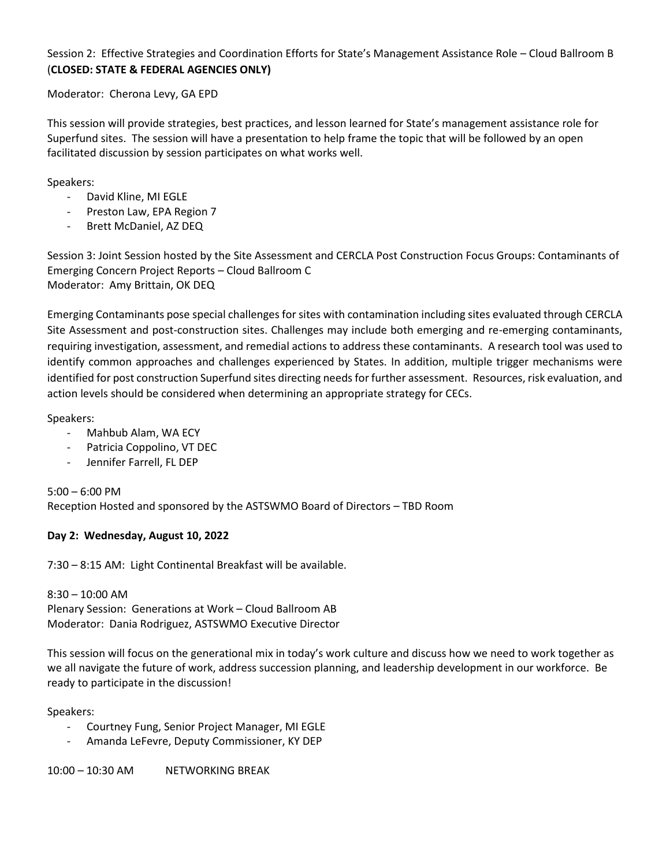# Session 2: Effective Strategies and Coordination Efforts for State's Management Assistance Role – Cloud Ballroom B (**CLOSED: STATE & FEDERAL AGENCIES ONLY)**

Moderator: Cherona Levy, GA EPD

This session will provide strategies, best practices, and lesson learned for State's management assistance role for Superfund sites. The session will have a presentation to help frame the topic that will be followed by an open facilitated discussion by session participates on what works well.

Speakers:

- David Kline, MI EGLE
- Preston Law, EPA Region 7
- Brett McDaniel, AZ DEQ

Session 3: Joint Session hosted by the Site Assessment and CERCLA Post Construction Focus Groups: Contaminants of Emerging Concern Project Reports – Cloud Ballroom C Moderator: Amy Brittain, OK DEQ

Emerging Contaminants pose special challenges for sites with contamination including sites evaluated through CERCLA Site Assessment and post-construction sites. Challenges may include both emerging and re-emerging contaminants, requiring investigation, assessment, and remedial actions to address these contaminants. A research tool was used to identify common approaches and challenges experienced by States. In addition, multiple trigger mechanisms were identified for post construction Superfund sites directing needs for further assessment. Resources, risk evaluation, and action levels should be considered when determining an appropriate strategy for CECs.

Speakers:

- Mahbub Alam, WA ECY
- Patricia Coppolino, VT DEC
- Jennifer Farrell, FL DEP

5:00 – 6:00 PM Reception Hosted and sponsored by the ASTSWMO Board of Directors – TBD Room

### **Day 2: Wednesday, August 10, 2022**

7:30 – 8:15 AM: Light Continental Breakfast will be available.

8:30 – 10:00 AM Plenary Session: Generations at Work – Cloud Ballroom AB Moderator: Dania Rodriguez, ASTSWMO Executive Director

This session will focus on the generational mix in today's work culture and discuss how we need to work together as we all navigate the future of work, address succession planning, and leadership development in our workforce. Be ready to participate in the discussion!

Speakers:

- Courtney Fung, Senior Project Manager, MI EGLE
- Amanda LeFevre, Deputy Commissioner, KY DEP

10:00 – 10:30 AM NETWORKING BREAK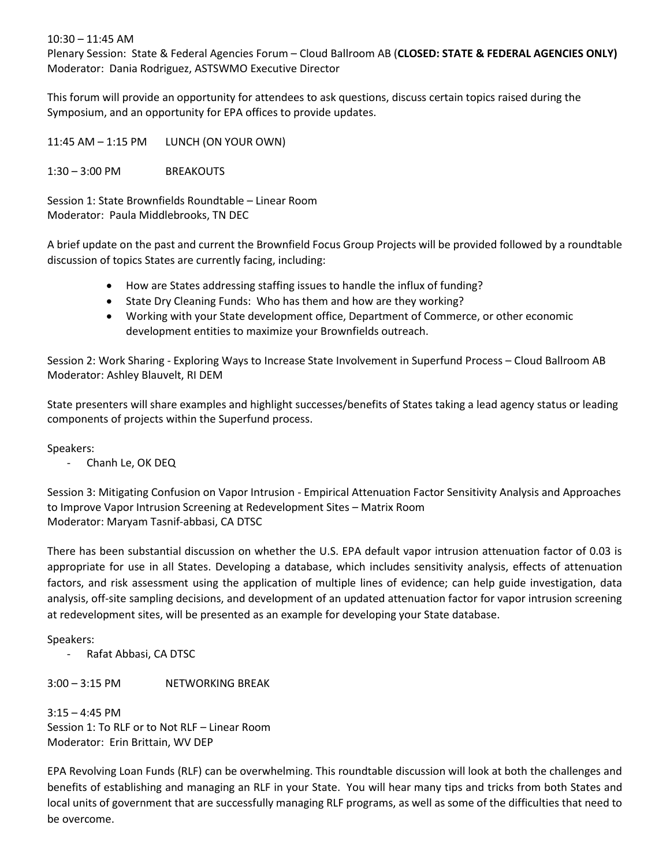### $10:30 - 11:45$  AM

Plenary Session: State & Federal Agencies Forum – Cloud Ballroom AB (**CLOSED: STATE & FEDERAL AGENCIES ONLY)**  Moderator: Dania Rodriguez, ASTSWMO Executive Director

This forum will provide an opportunity for attendees to ask questions, discuss certain topics raised during the Symposium, and an opportunity for EPA offices to provide updates.

11:45 AM – 1:15 PM LUNCH (ON YOUR OWN)

 $1:30 - 3:00 \text{ PM}$  BREAKOUTS

Session 1: State Brownfields Roundtable – Linear Room Moderator: Paula Middlebrooks, TN DEC

A brief update on the past and current the Brownfield Focus Group Projects will be provided followed by a roundtable discussion of topics States are currently facing, including:

- How are States addressing staffing issues to handle the influx of funding?
- State Dry Cleaning Funds: Who has them and how are they working?
- Working with your State development office, Department of Commerce, or other economic development entities to maximize your Brownfields outreach.

Session 2: Work Sharing - Exploring Ways to Increase State Involvement in Superfund Process – Cloud Ballroom AB Moderator: Ashley Blauvelt, RI DEM

State presenters will share examples and highlight successes/benefits of States taking a lead agency status or leading components of projects within the Superfund process.

Speakers:

- Chanh Le, OK DEQ

Session 3: Mitigating Confusion on Vapor Intrusion - Empirical Attenuation Factor Sensitivity Analysis and Approaches to Improve Vapor Intrusion Screening at Redevelopment Sites – Matrix Room Moderator: Maryam Tasnif-abbasi, CA DTSC

There has been substantial discussion on whether the U.S. EPA default vapor intrusion attenuation factor of 0.03 is appropriate for use in all States. Developing a database, which includes sensitivity analysis, effects of attenuation factors, and risk assessment using the application of multiple lines of evidence; can help guide investigation, data analysis, off-site sampling decisions, and development of an updated attenuation factor for vapor intrusion screening at redevelopment sites, will be presented as an example for developing your State database.

Speakers:

- Rafat Abbasi, CA DTSC

3:00 – 3:15 PM NETWORKING BREAK

 $3:15 - 4:45$  PM Session 1: To RLF or to Not RLF – Linear Room Moderator: Erin Brittain, WV DEP

EPA Revolving Loan Funds (RLF) can be overwhelming. This roundtable discussion will look at both the challenges and benefits of establishing and managing an RLF in your State. You will hear many tips and tricks from both States and local units of government that are successfully managing RLF programs, as well as some of the difficulties that need to be overcome.